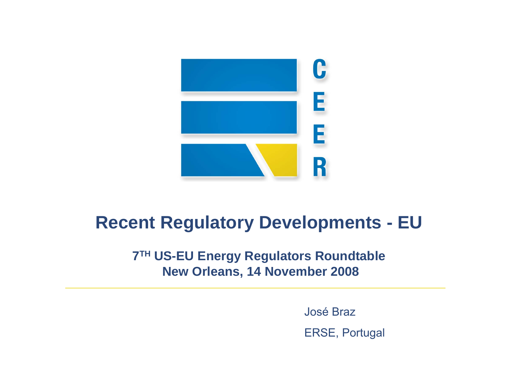

## **Recent Regulatory Developments - EU**

### **7TH US-EU Energy Regulators Roundtable New Orleans, 14 November 2008**

José Braz

ERSE, Portugal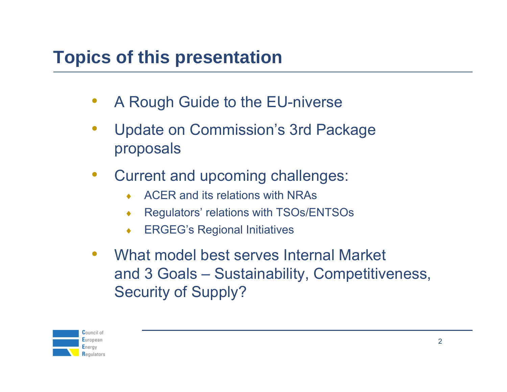# **Topics of this presentation**

- •A Rough Guide to the EU-niverse
- • Update on Commission's 3rd Package proposals
- • Current and upcoming challenges:
	- ♦ACER and its relations with NRAs
	- ♦Regulators' relations with TSOs/ENTSOs
	- ♦ERGEG's Regional Initiatives
- $\bullet$  What model best serves Internal Market and 3 Goals – Sustainability, Competitiveness, Security of Supply?

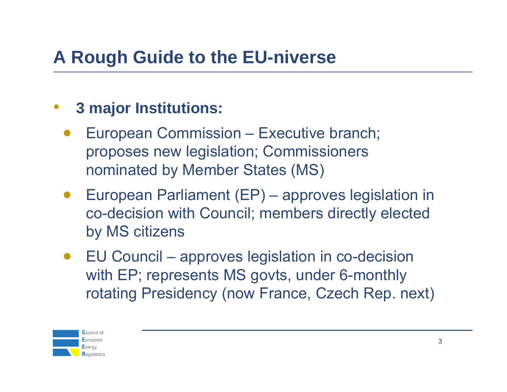# **A Rough Guide to the EU-niverse**

#### •**3 major Institutions:**

- • European Commission – Executive branch; proposes new legislation; Commissioners nominated by Member States (MS)
- • European Parliament (EP) – approves legislation in co-decision with Council; members directly elected by MS citizens
- • EU Council – approves legislation in co-decision with EP; represents MS govts, under 6-monthly rotating Presidency (now France, Czech Rep. next)

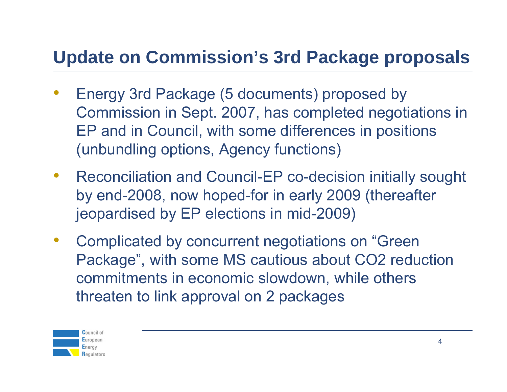# **Update on Commission's 3rd Package proposals**

- • Energy 3rd Package (5 documents) proposed by Commission in Sept. 2007, has completed negotiations in EP and in Council, with some differences in positions (unbundling options, Agency functions)
- $\bullet$  Reconciliation and Council-EP co-decision initially sought by end-2008, now hoped-for in early 2009 (thereafter jeopardised by EP elections in mid-2009)
- $\bullet$  Complicated by concurrent negotiations on "Green Package", with some MS cautious about CO2 reduction commitments in economic slowdown, while others threaten to link approval on 2 packages

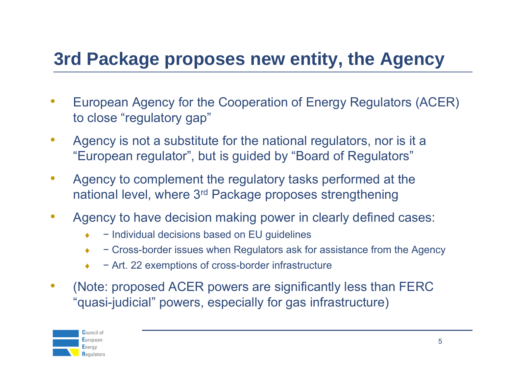# **3rd Package proposes new entity, the Agency**

- $\bullet$  European Agency for the Cooperation of Energy Regulators (ACER) to close "regulatory gap"
- $\bullet$  Agency is not a substitute for the national regulators, nor is it a "European regulator", but is guided by "Board of Regulators"
- $\bullet$  Agency to complement the regulatory tasks performed at the national level, where 3rd Package proposes strengthening
- • Agency to have decision making power in clearly defined cases:
	- ♦− Individual decisions based on EU guidelines
	- ♦− Cross-border issues when Regulators ask for assistance from the Agency
	- ♦− Art. 22 exemptions of cross-border infrastructure
- $\bullet$  (Note: proposed ACER powers are significantly less than FERC "quasi-judicial" powers, especially for gas infrastructure)

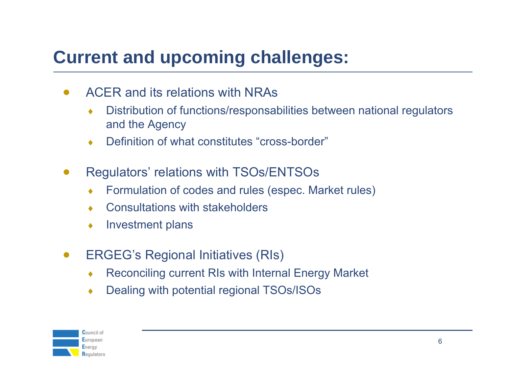# **Current and upcoming challenges:**

- • ACER and its relations with NRAs
	- ♦ Distribution of functions/responsabilities between national regulators and the Agency
	- ♦Definition of what constitutes "cross-border"
- $\bullet$  Regulators' relations with TSOs/ENTSOs
	- ♦Formulation of codes and rules (espec. Market rules)
	- ♦Consultations with stakeholders
	- ♦Investment plans
- $\bullet$  ERGEG's Regional Initiatives (RIs)
	- ♦Reconciling current RIs with Internal Energy Market
	- ♦Dealing with potential regional TSOs/ISOs